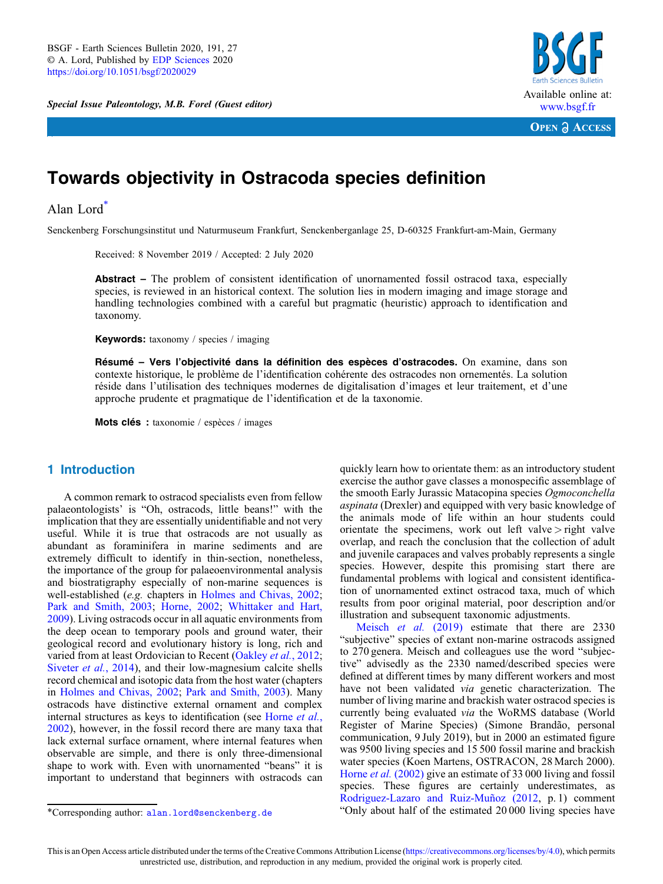Special Issue Paleontology, M.B. Forel (Guest editor)



**OPEN A ACCESS** 

# Towards objectivity in Ostracoda species definition

# Alan Lord\*

Senckenberg Forschungsinstitut und Naturmuseum Frankfurt, Senckenberganlage 25, D-60325 Frankfurt-am-Main, Germany

Received: 8 November 2019 / Accepted: 2 July 2020

Abstract – The problem of consistent identification of unornamented fossil ostracod taxa, especially species, is reviewed in an historical context. The solution lies in modern imaging and image storage and handling technologies combined with a careful but pragmatic (heuristic) approach to identification and taxonomy.

Keywords: taxonomy / species / imaging

Résumé – Vers l'objectivité dans la définition des espèces d'ostracodes. On examine, dans son contexte historique, le problème de l'identification cohérente des ostracodes non ornementés. La solution réside dans l'utilisation des techniques modernes de digitalisation d'images et leur traitement, et d'une approche prudente et pragmatique de l'identification et de la taxonomie.

Mots clés : taxonomie / espèces / images

# 1 Introduction

A common remark to ostracod specialists even from fellow palaeontologists' is "Oh, ostracods, little beans!" with the implication that they are essentially unidentifiable and not very useful. While it is true that ostracods are not usually as abundant as foraminifera in marine sediments and are extremely difficult to identify in thin-section, nonetheless, the importance of the group for palaeoenvironmental analysis and biostratigraphy especially of non-marine sequences is well-established (e.g. chapters in [Holmes and Chivas, 2002](#page-4-0); [Park and Smith, 2003;](#page-5-0) [Horne, 2002](#page-4-0); [Whittaker and Hart,](#page-5-0) [2009](#page-5-0)). Living ostracods occur in all aquatic environments from the deep ocean to temporary pools and ground water, their geological record and evolutionary history is long, rich and varied from at least Ordovician to Recent ([Oakley](#page-5-0) *et al.*, 2012; [Siveter](#page-5-0) *et al.*, 2014), and their low-magnesium calcite shells record chemical and isotopic data from the host water (chapters in [Holmes and Chivas, 2002;](#page-4-0) [Park and Smith, 2003](#page-5-0)). Many ostracods have distinctive external ornament and complex internal structures as keys to identification (see [Horne](#page-4-0) et al., [2002](#page-4-0)), however, in the fossil record there are many taxa that lack external surface ornament, where internal features when observable are simple, and there is only three-dimensional shape to work with. Even with unornamented "beans" it is important to understand that beginners with ostracods can

[Meisch](#page-5-0) *et al.* (2019) estimate that there are 2330 "subjective" species of extant non-marine ostracods assigned to 270 genera. Meisch and colleagues use the word "subjective" advisedly as the 2330 named/described species were defined at different times by many different workers and most have not been validated via genetic characterization. The number of living marine and brackish water ostracod species is currently being evaluated via the WoRMS database (World Register of Marine Species) (Simone Brandão, personal communication, 9 July 2019), but in 2000 an estimated figure was 9500 living species and 15 500 fossil marine and brackish water species (Koen Martens, OSTRACON, 28 March 2000). Horne *et al.* [\(2002\)](#page-4-0) give an estimate of 33 000 living and fossil species. These figures are certainly underestimates, as [Rodriguez-Lazaro and Ruiz-Muñoz \(2012,](#page-5-0) p. 1) comment \*Corresponding author: [alan.lord@senckenberg.de](mailto:alan.lord@senckenberg.de) "Only about half of the estimated 20 000 living species have

quickly learn how to orientate them: as an introductory student exercise the author gave classes a monospecific assemblage of the smooth Early Jurassic Matacopina species Ogmoconchella aspinata (Drexler) and equipped with very basic knowledge of the animals mode of life within an hour students could orientate the specimens, work out left valve  $\ge$  right valve overlap, and reach the conclusion that the collection of adult and juvenile carapaces and valves probably represents a single species. However, despite this promising start there are fundamental problems with logical and consistent identification of unornamented extinct ostracod taxa, much of which results from poor original material, poor description and/or illustration and subsequent taxonomic adjustments.

This is an Open Access article distributed under the terms of the Creative Commons Attribution License ([https://creativecommons.org/licenses/by/4.0\)](https://creativecommons.org/licenses/by/4.0), which permits unrestricted use, distribution, and reproduction in any medium, provided the original work is properly cited.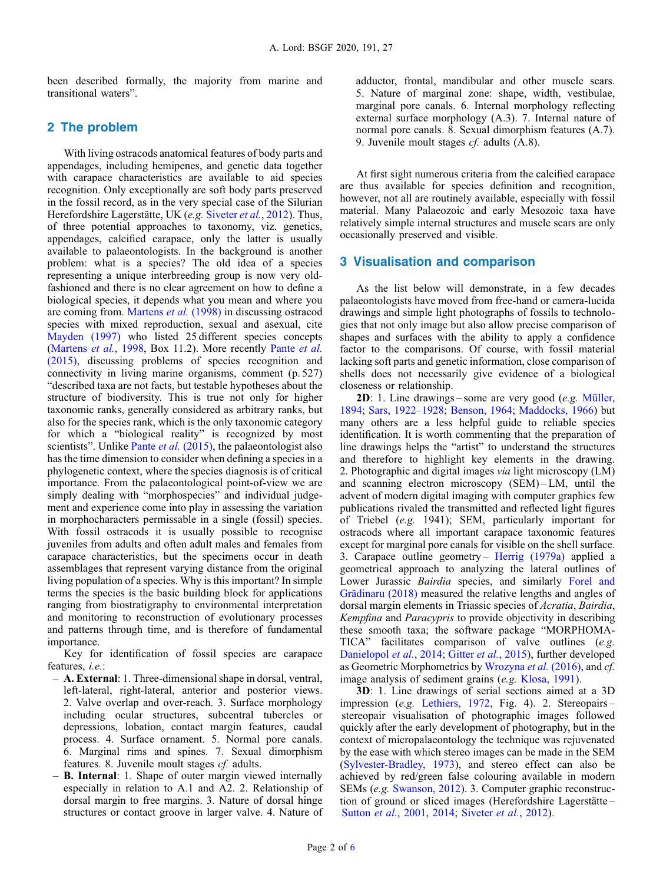been described formally, the majority from marine and transitional waters".

# 2 The problem

With living ostracods anatomical features of body parts and appendages, including hemipenes, and genetic data together with carapace characteristics are available to aid species recognition. Only exceptionally are soft body parts preserved in the fossil record, as in the very special case of the Silurian Herefordshire Lagerstätte, UK (e.g. [Siveter](#page-5-0) et al., 2012). Thus, of three potential approaches to taxonomy, viz. genetics, appendages, calcified carapace, only the latter is usually available to palaeontologists. In the background is another problem: what is a species? The old idea of a species representing a unique interbreeding group is now very oldfashioned and there is no clear agreement on how to define a biological species, it depends what you mean and where you are coming from. [Martens](#page-5-0) et al. (1998) in discussing ostracod species with mixed reproduction, sexual and asexual, cite [Mayden \(1997\)](#page-5-0) who listed 25 different species concepts ([Martens](#page-5-0) *et al.*, 1998, Box 11.2). More recently [Pante](#page-5-0) *et al.* [\(2015\)](#page-5-0), discussing problems of species recognition and connectivity in living marine organisms, comment (p. 527) "described taxa are not facts, but testable hypotheses about the structure of biodiversity. This is true not only for higher taxonomic ranks, generally considered as arbitrary ranks, but also for the species rank, which is the only taxonomic category for which a "biological reality" is recognized by most scientists". Unlike Pante et al. [\(2015\)](#page-5-0), the palaeontologist also has the time dimension to consider when defining a species in a phylogenetic context, where the species diagnosis is of critical importance. From the palaeontological point-of-view we are simply dealing with "morphospecies" and individual judgement and experience come into play in assessing the variation in morphocharacters permissable in a single (fossil) species. With fossil ostracods it is usually possible to recognise juveniles from adults and often adult males and females from carapace characteristics, but the specimens occur in death assemblages that represent varying distance from the original living population of a species. Why is this important? In simple terms the species is the basic building block for applications ranging from biostratigraphy to environmental interpretation and monitoring to reconstruction of evolutionary processes and patterns through time, and is therefore of fundamental importance.

Key for identification of fossil species are carapace features, i.e.:

- A. External: 1. Three-dimensional shape in dorsal, ventral, left-lateral, right-lateral, anterior and posterior views. 2. Valve overlap and over-reach. 3. Surface morphology including ocular structures, subcentral tubercles or depressions, lobation, contact margin features, caudal process. 4. Surface ornament. 5. Normal pore canals. 6. Marginal rims and spines. 7. Sexual dimorphism features. 8. Juvenile moult stages cf. adults.
- B. Internal: 1. Shape of outer margin viewed internally especially in relation to A.1 and A2. 2. Relationship of dorsal margin to free margins. 3. Nature of dorsal hinge structures or contact groove in larger valve. 4. Nature of

adductor, frontal, mandibular and other muscle scars. 5. Nature of marginal zone: shape, width, vestibulae, marginal pore canals. 6. Internal morphology reflecting external surface morphology (A.3). 7. Internal nature of normal pore canals. 8. Sexual dimorphism features (A.7). 9. Juvenile moult stages cf. adults (A.8).

At first sight numerous criteria from the calcified carapace are thus available for species definition and recognition, however, not all are routinely available, especially with fossil material. Many Palaeozoic and early Mesozoic taxa have relatively simple internal structures and muscle scars are only occasionally preserved and visible.

### 3 Visualisation and comparison

As the list below will demonstrate, in a few decades palaeontologists have moved from free-hand or camera-lucida drawings and simple light photographs of fossils to technologies that not only image but also allow precise comparison of shapes and surfaces with the ability to apply a confidence factor to the comparisons. Of course, with fossil material lacking soft parts and genetic information, close comparison of shells does not necessarily give evidence of a biological closeness or relationship.

2D: 1. Line drawings – some are very good (e.g. [Müller,](#page-5-0) [1894](#page-5-0); [Sars, 1922](#page-5-0)–1928; [Benson, 1964](#page-4-0); [Maddocks, 1966\)](#page-5-0) but many others are a less helpful guide to reliable species identification. It is worth commenting that the preparation of line drawings helps the "artist" to understand the structures and therefore to highlight key elements in the drawing. 2. Photographic and digital images via light microscopy (LM) and scanning electron microscopy (SEM) – LM, until the advent of modern digital imaging with computer graphics few publications rivaled the transmitted and reflected light figures of Triebel (e.g. 1941); SEM, particularly important for ostracods where all important carapace taxonomic features except for marginal pore canals for visible on the shell surface. 3. Carapace outline geometry – Herrig  $(1979a)$  applied a geometrical approach to analyzing the lateral outlines of Lower Jurassic Bairdia species, and similarly [Forel and](#page-4-0) Gră[dinaru \(2018\)](#page-4-0) measured the relative lengths and angles of dorsal margin elements in Triassic species of Acratia, Bairdia, Kempfina and Paracypris to provide objectivity in describing these smooth taxa; the software package "MORPHOMA-TICA" facilitates comparison of valve outlines (e.g. [Danielopol](#page-4-0) et al., 2014; Gitter et al.[, 2015\)](#page-4-0), further developed as Geometric Morphometrics by [Wrozyna](#page-5-0) et al. (2016), and cf. image analysis of sediment grains (e.g. [Klosa, 1991](#page-5-0)).

3D: 1. Line drawings of serial sections aimed at a 3D impression (e.g. [Lethiers, 1972](#page-5-0), Fig. 4). 2. Stereopairs – stereopair visualisation of photographic images followed quickly after the early development of photography, but in the context of micropalaeontology the technique was rejuvenated by the ease with which stereo images can be made in the SEM ([Sylvester-Bradley, 1973\)](#page-5-0), and stereo effect can also be achieved by red/green false colouring available in modern SEMs (e.g. [Swanson, 2012](#page-5-0)). 3. Computer graphic reconstruction of ground or sliced images (Herefordshire Lagerstätte – [Sutton](#page-5-0) et al., 2001, [2014;](#page-5-0) [Siveter](#page-5-0) et al., 2012).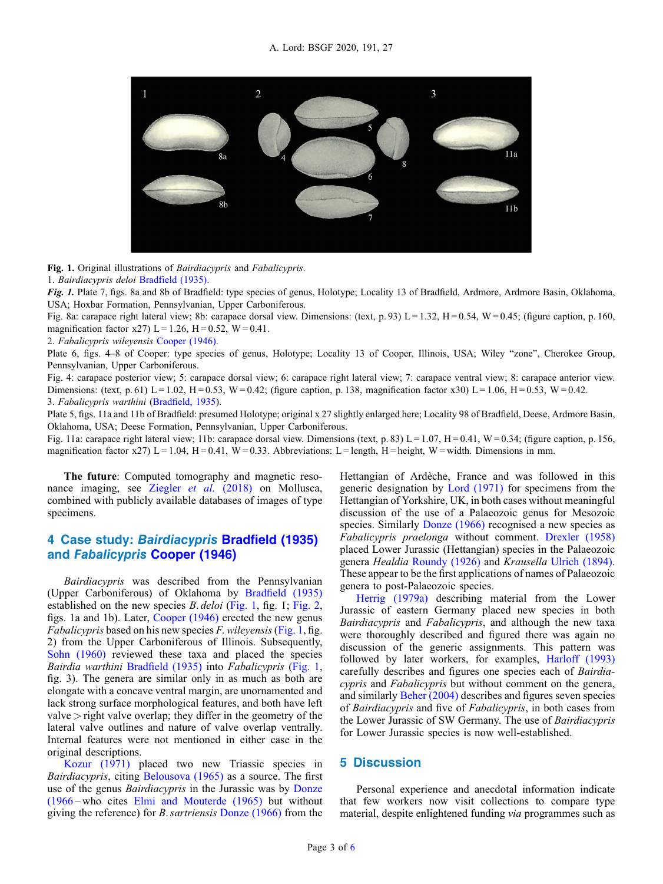

Fig. 1. Original illustrations of Bairdiacypris and Fabalicypris.

1. Bairdiacypris deloi [Bradfield \(1935\).](#page-4-0)

Fig. 1. Plate 7, figs. 8a and 8b of Bradfield: type species of genus, Holotype; Locality 13 of Bradfield, Ardmore, Ardmore Basin, Oklahoma, USA; Hoxbar Formation, Pennsylvanian, Upper Carboniferous.

Fig. 8a: carapace right lateral view; 8b: carapace dorsal view. Dimensions: (text, p. 93) L = 1.32, H = 0.54, W = 0.45; (figure caption, p. 160, magnification factor x27) L = 1.26, H = 0.52, W = 0.41.

2. Fabalicypris wileyensis [Cooper \(1946\)](#page-4-0).

Plate 6, figs. 4–8 of Cooper: type species of genus, Holotype; Locality 13 of Cooper, Illinois, USA; Wiley "zone", Cherokee Group, Pennsylvanian, Upper Carboniferous.

Fig. 4: carapace posterior view; 5: carapace dorsal view; 6: carapace right lateral view; 7: carapace ventral view; 8: carapace anterior view. Dimensions: (text, p. 61) L = 1.02, H = 0.53, W = 0.42; (figure caption, p. 138, magnification factor x30) L = 1.06, H = 0.53, W = 0.42. 3. Fabalicypris warthini (Bradfi[eld, 1935\)](#page-4-0).

Plate 5, figs. 11a and 11b of Bradfield: presumed Holotype; original x 27 slightly enlarged here; Locality 98 of Bradfield, Deese, Ardmore Basin, Oklahoma, USA; Deese Formation, Pennsylvanian, Upper Carboniferous.

Fig. 11a: carapace right lateral view; 11b: carapace dorsal view. Dimensions (text, p. 83)  $L = 1.07$ ,  $H = 0.41$ ,  $W = 0.34$ ; (figure caption, p. 156, magnification factor x27) L = 1.04, H = 0.41, W = 0.33. Abbreviations: L = length, H = height, W = width. Dimensions in mm.

The future: Computed tomography and magnetic resonance imaging, see [Ziegler](#page-5-0) et al. (2018) on Mollusca, combined with publicly available databases of images of type specimens.

# 4 Case study: Bairdiacypris Bradfi[eld \(1935\)](#page-4-0) and Fabalicypris [Cooper \(1946\)](#page-4-0)

Bairdiacypris was described from the Pennsylvanian (Upper Carboniferous) of Oklahoma by Bradfi[eld \(1935\)](#page-4-0) established on the new species B. deloi (Fig. 1, fig. 1; [Fig. 2](#page-3-0), figs. 1a and 1b). Later, [Cooper \(1946\)](#page-4-0) erected the new genus *Fabalicypris* based on his new species *F. wileyensis* (Fig. 1, fig. 2) from the Upper Carboniferous of Illinois. Subsequently, [Sohn \(1960\)](#page-5-0) reviewed these taxa and placed the species Bairdia warthini Bradfi[eld \(1935\)](#page-4-0) into Fabalicypris (Fig. 1, fig. 3). The genera are similar only in as much as both are elongate with a concave ventral margin, are unornamented and lack strong surface morphological features, and both have left valve  $\ge$  right valve overlap; they differ in the geometry of the lateral valve outlines and nature of valve overlap ventrally. Internal features were not mentioned in either case in the original descriptions.

[Kozur \(1971\)](#page-5-0) placed two new Triassic species in Bairdiacypris, citing [Belousova \(1965\)](#page-4-0) as a source. The first use of the genus *Bairdiacypris* in the Jurassic was by [Donze](#page-4-0) [\(1966](#page-4-0) – who cites [Elmi and Mouterde \(1965\)](#page-4-0) but without giving the reference) for B.sartriensis [Donze \(1966\)](#page-4-0) from the Hettangian of Ardèche, France and was followed in this generic designation by [Lord \(1971\)](#page-5-0) for specimens from the Hettangian of Yorkshire, UK, in both cases without meaningful discussion of the use of a Palaeozoic genus for Mesozoic species. Similarly [Donze \(1966\)](#page-4-0) recognised a new species as Fabalicypris praelonga without comment. [Drexler \(1958\)](#page-4-0) placed Lower Jurassic (Hettangian) species in the Palaeozoic genera Healdia [Roundy \(1926\)](#page-5-0) and Krausella [Ulrich \(1894\)](#page-5-0). These appear to be the first applications of names of Palaeozoic genera to post-Palaeozoic species.

[Herrig \(1979a\)](#page-4-0) describing material from the Lower Jurassic of eastern Germany placed new species in both Bairdiacypris and Fabalicypris, and although the new taxa were thoroughly described and figured there was again no discussion of the generic assignments. This pattern was followed by later workers, for examples, [Harloff \(1993\)](#page-4-0) carefully describes and figures one species each of Bairdiacypris and Fabalicypris but without comment on the genera, and similarly [Beher \(2004\)](#page-4-0) describes and figures seven species of Bairdiacypris and five of Fabalicypris, in both cases from the Lower Jurassic of SW Germany. The use of Bairdiacypris for Lower Jurassic species is now well-established.

# 5 Discussion

Personal experience and anecdotal information indicate that few workers now visit collections to compare type material, despite enlightened funding via programmes such as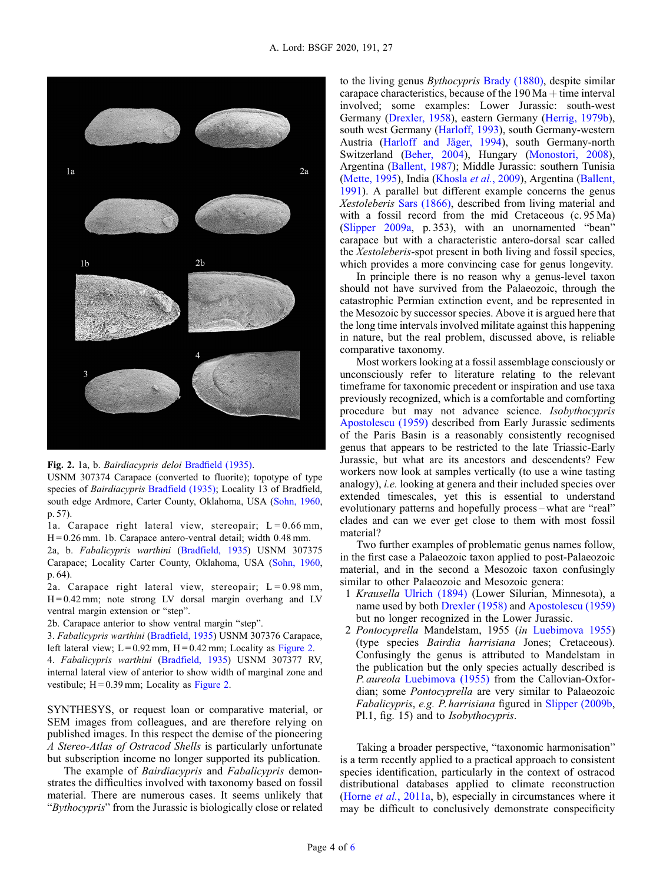<span id="page-3-0"></span>

#### Fig. 2. 1a, b. Bairdiacypris deloi Bradfi[eld \(1935\).](#page-4-0)

USNM 307374 Carapace (converted to fluorite); topotype of type species of Bairdiacypris [Bradfield \(1935\);](#page-4-0) Locality 13 of Bradfield, south edge Ardmore, Carter County, Oklahoma, USA ([Sohn, 1960,](#page-5-0) p. 57).

1a. Carapace right lateral view, stereopair;  $L = 0.66$  mm, H = 0.26 mm. 1b. Carapace antero-ventral detail; width 0.48 mm.

2a, b. Fabalicypris warthini [\(Bradfield, 1935](#page-4-0)) USNM 307375 Carapace; Locality Carter County, Oklahoma, USA ([Sohn, 1960,](#page-5-0) p. 64).

2a. Carapace right lateral view, stereopair;  $L = 0.98$  mm,  $H = 0.42$  mm; note strong LV dorsal margin overhang and LV ventral margin extension or "step".

2b. Carapace anterior to show ventral margin "step".

3. Fabalicypris warthini [\(Bradfield, 1935\)](#page-4-0) USNM 307376 Carapace, left lateral view;  $L = 0.92$  mm,  $H = 0.42$  mm; Locality as Figure 2.

4. Fabalicypris warthini ([Bradfield, 1935\)](#page-4-0) USNM 307377 RV, internal lateral view of anterior to show width of marginal zone and vestibule;  $H = 0.39$  mm; Locality as Figure 2.

SYNTHESYS, or request loan or comparative material, or SEM images from colleagues, and are therefore relying on published images. In this respect the demise of the pioneering A Stereo-Atlas of Ostracod Shells is particularly unfortunate but subscription income no longer supported its publication.

The example of Bairdiacypris and Fabalicypris demonstrates the difficulties involved with taxonomy based on fossil material. There are numerous cases. It seems unlikely that "Bythocypris" from the Jurassic is biologically close or related to the living genus Bythocypris [Brady \(1880\)](#page-4-0), despite similar carapace characteristics, because of the  $190$  Ma  $+$  time interval involved; some examples: Lower Jurassic: south-west Germany [\(Drexler, 1958](#page-4-0)), eastern Germany [\(Herrig, 1979b\)](#page-4-0), south west Germany ([Harloff, 1993](#page-4-0)), south Germany-western Austria ([Harloff and Jäger, 1994\)](#page-4-0), south Germany-north Switzerland ([Beher, 2004\)](#page-4-0), Hungary ([Monostori, 2008\)](#page-5-0), Argentina ([Ballent, 1987](#page-4-0)); Middle Jurassic: southern Tunisia ([Mette, 1995\)](#page-5-0), India ([Khosla](#page-5-0) et al., 2009), Argentina ([Ballent,](#page-4-0) [1991](#page-4-0)). A parallel but different example concerns the genus Xestoleberis [Sars \(1866\)](#page-5-0), described from living material and with a fossil record from the mid Cretaceous (c. 95 Ma) ([Slipper 2009a,](#page-5-0) p. 353), with an unornamented "bean" carapace but with a characteristic antero-dorsal scar called the Xestoleberis-spot present in both living and fossil species, which provides a more convincing case for genus longevity.

In principle there is no reason why a genus-level taxon should not have survived from the Palaeozoic, through the catastrophic Permian extinction event, and be represented in the Mesozoic by successor species. Above it is argued here that the long time intervals involved militate against this happening in nature, but the real problem, discussed above, is reliable comparative taxonomy.

Most workers looking at a fossil assemblage consciously or unconsciously refer to literature relating to the relevant timeframe for taxonomic precedent or inspiration and use taxa previously recognized, which is a comfortable and comforting procedure but may not advance science. Isobythocypris [Apostolescu \(1959\)](#page-4-0) described from Early Jurassic sediments of the Paris Basin is a reasonably consistently recognised genus that appears to be restricted to the late Triassic-Early Jurassic, but what are its ancestors and descendents? Few workers now look at samples vertically (to use a wine tasting analogy), i.e. looking at genera and their included species over extended timescales, yet this is essential to understand evolutionary patterns and hopefully process – what are "real" clades and can we ever get close to them with most fossil material?

Two further examples of problematic genus names follow, in the first case a Palaeozoic taxon applied to post-Palaeozoic material, and in the second a Mesozoic taxon confusingly similar to other Palaeozoic and Mesozoic genera:

- 1 Krausella [Ulrich \(1894\)](#page-5-0) (Lower Silurian, Minnesota), a name used by both [Drexler \(1958\)](#page-4-0) and [Apostolescu \(1959\)](#page-4-0) but no longer recognized in the Lower Jurassic.
- 2 Pontocyprella Mandelstam, 1955 (in [Luebimova 1955](#page-5-0)) (type species Bairdia harrisiana Jones; Cretaceous). Confusingly the genus is attributed to Mandelstam in the publication but the only species actually described is P. aureola [Luebimova \(1955\)](#page-5-0) from the Callovian-Oxfordian; some Pontocyprella are very similar to Palaeozoic Fabalicypris, e.g. P. harrisiana figured in [Slipper \(2009b](#page-5-0), Pl.1, fig. 15) and to Isobythocypris.

Taking a broader perspective, "taxonomic harmonisation" is a term recently applied to a practical approach to consistent species identification, particularly in the context of ostracod distributional databases applied to climate reconstruction (Horne et al.[, 2011a,](#page-4-0) b), especially in circumstances where it may be difficult to conclusively demonstrate conspecificity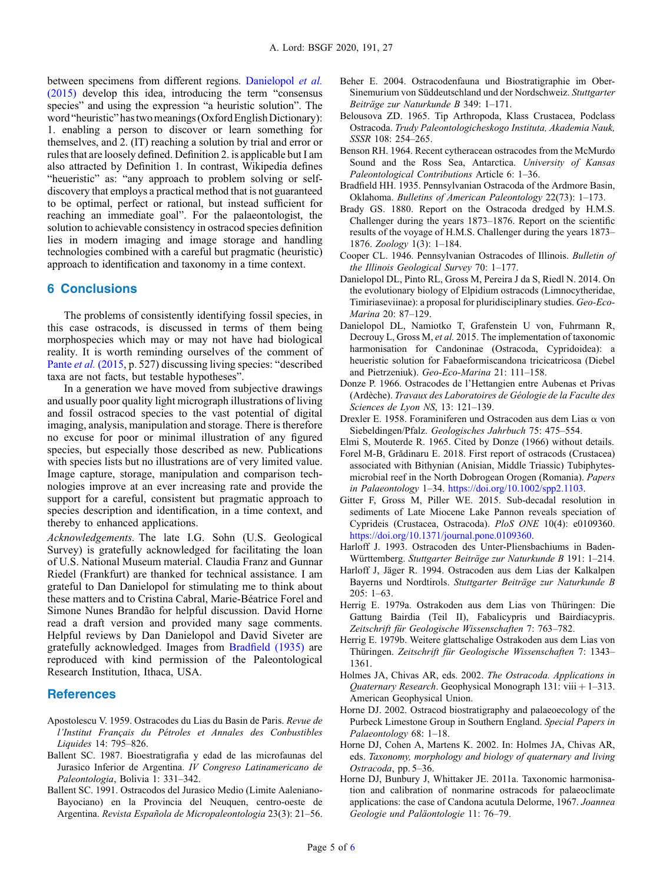<span id="page-4-0"></span>between specimens from different regions. Danielopol et al. (2015) develop this idea, introducing the term "consensus species" and using the expression "a heuristic solution". The word "heuristic" has two meanings (Oxford English Dictionary): 1. enabling a person to discover or learn something for themselves, and 2. (IT) reaching a solution by trial and error or rules that are loosely defined. Definition 2. is applicable but I am also attracted by Definition 1. In contrast, Wikipedia defines "heueristic" as: "any approach to problem solving or selfdiscovery that employs a practical method that is not guaranteed to be optimal, perfect or rational, but instead sufficient for reaching an immediate goal". For the palaeontologist, the solution to achievable consistency in ostracod species definition lies in modern imaging and image storage and handling technologies combined with a careful but pragmatic (heuristic) approach to identification and taxonomy in a time context.

# 6 Conclusions

The problems of consistently identifying fossil species, in this case ostracods, is discussed in terms of them being morphospecies which may or may not have had biological reality. It is worth reminding ourselves of the comment of Pante et al. [\(2015](#page-5-0), p. 527) discussing living species: "described taxa are not facts, but testable hypotheses".

In a generation we have moved from subjective drawings and usually poor quality light micrograph illustrations of living and fossil ostracod species to the vast potential of digital imaging, analysis, manipulation and storage. There is therefore no excuse for poor or minimal illustration of any figured species, but especially those described as new. Publications with species lists but no illustrations are of very limited value. Image capture, storage, manipulation and comparison technologies improve at an ever increasing rate and provide the support for a careful, consistent but pragmatic approach to species description and identification, in a time context, and thereby to enhanced applications.

Acknowledgements. The late I.G. Sohn (U.S. Geological Survey) is gratefully acknowledged for facilitating the loan of U.S. National Museum material. Claudia Franz and Gunnar Riedel (Frankfurt) are thanked for technical assistance. I am grateful to Dan Danielopol for stimulating me to think about these matters and to Cristina Cabral, Marie-Béatrice Forel and Simone Nunes Brandão for helpful discussion. David Horne read a draft version and provided many sage comments. Helpful reviews by Dan Danielopol and David Siveter are gratefully acknowledged. Images from Bradfield (1935) are reproduced with kind permission of the Paleontological Research Institution, Ithaca, USA.

### **References**

- Apostolescu V. 1959. Ostracodes du Lias du Basin de Paris. Revue de l'Institut Français du Pétroles et Annales des Conbustibles Liquides 14: 795–826.
- Ballent SC. 1987. Bioestratigrafia y edad de las microfaunas del Jurasico Inferior de Argentina. IV Congreso Latinamericano de Paleontologia, Bolivia 1: 331–342.
- Ballent SC. 1991. Ostracodos del Jurasico Medio (Limite Aaleniano-Bayociano) en la Provincia del Neuquen, centro-oeste de Argentina. Revista Española de Micropaleontologia 23(3): 21–56.
- Beher E. 2004. Ostracodenfauna und Biostratigraphie im Ober-Sinemurium von Süddeutschland und der Nordschweiz. Stuttgarter Beiträge zur Naturkunde B 349: 1–171.
- Belousova ZD. 1965. Tip Arthropoda, Klass Crustacea, Podclass Ostracoda. Trudy Paleontologicheskogo Instituta, Akademia Nauk, SSSR 108: 254–265.
- Benson RH. 1964. Recent cytheracean ostracodes from the McMurdo Sound and the Ross Sea, Antarctica. University of Kansas Paleontological Contributions Article 6: 1–36.
- Bradfield HH. 1935. Pennsylvanian Ostracoda of the Ardmore Basin, Oklahoma. Bulletins of American Paleontology 22(73): 1–173.
- Brady GS. 1880. Report on the Ostracoda dredged by H.M.S. Challenger during the years 1873–1876. Report on the scientific results of the voyage of H.M.S. Challenger during the years 1873– 1876. Zoology 1(3): 1–184.
- Cooper CL. 1946. Pennsylvanian Ostracodes of Illinois. Bulletin of the Illinois Geological Survey 70: 1–177.
- Danielopol DL, Pinto RL, Gross M, Pereira J da S, Riedl N. 2014. On the evolutionary biology of Elpidium ostracods (Limnocytheridae, Timiriaseviinae): a proposal for pluridisciplinary studies. Geo-Eco-Marina 20: 87–129.
- Danielopol DL, Namiotko T, Grafenstein U von, Fuhrmann R, Decrouy L, Gross M, et al. 2015. The implementation of taxonomic harmonisation for Candoninae (Ostracoda, Cypridoidea): a heueristic solution for Fabaeformiscandona tricicatricosa (Diebel and Pietrzeniuk). Geo-Eco-Marina 21: 111–158.
- Donze P. 1966. Ostracodes de l'Hettangien entre Aubenas et Privas (Ardèche). Travaux des Laboratoires de Géologie de la Faculte des Sciences de Lyon NS, 13: 121–139.
- Drexler E. 1958. Foraminiferen und Ostracoden aus dem Lias a von Siebeldingen/Pfalz. Geologisches Jahrbuch 75: 475–554.
- Elmi S, Mouterde R. 1965. Cited by Donze (1966) without details.
- Forel M-B, Grădinaru E. 2018. First report of ostracods (Crustacea) associated with Bithynian (Anisian, Middle Triassic) Tubiphytesmicrobial reef in the North Dobrogean Orogen (Romania). Papers in Palaeontology 1–34. <https://doi.org/10.1002/spp2.1103>.
- Gitter F, Gross M, Piller WE. 2015. Sub-decadal resolution in sediments of Late Miocene Lake Pannon reveals speciation of Cyprideis (Crustacea, Ostracoda). PloS ONE 10(4): e0109360. [https://doi.org/10.1371/journal.pone.0109360.](https://doi.org/10.1371/journal.pone.0109360)
- Harloff J. 1993. Ostracoden des Unter-Pliensbachiums in Baden-Württemberg. Stuttgarter Beiträge zur Naturkunde B 191: 1–214.
- Harloff J, Jäger R. 1994. Ostracoden aus dem Lias der Kalkalpen Bayerns und Nordtirols. Stuttgarter Beiträge zur Naturkunde B 205: 1–63.
- Herrig E. 1979a. Ostrakoden aus dem Lias von Thüringen: Die Gattung Bairdia (Teil II), Fabalicypris und Bairdiacypris. Zeitschrift für Geologische Wissenschaften 7: 763–782.
- Herrig E. 1979b. Weitere glattschalige Ostrakoden aus dem Lias von Thüringen. Zeitschrift für Geologische Wissenschaften 7: 1343– 1361.
- Holmes JA, Chivas AR, eds. 2002. The Ostracoda. Applications in Quaternary Research. Geophysical Monograph 131: viii  $+1-313$ . American Geophysical Union.
- Horne DJ. 2002. Ostracod biostratigraphy and palaeoecology of the Purbeck Limestone Group in Southern England. Special Papers in Palaeontology 68: 1–18.
- Horne DJ, Cohen A, Martens K. 2002. In: Holmes JA, Chivas AR, eds. Taxonomy, morphology and biology of quaternary and living Ostracoda, pp. 5–36.
- Horne DJ, Bunbury J, Whittaker JE. 2011a. Taxonomic harmonisation and calibration of nonmarine ostracods for palaeoclimate applications: the case of Candona acutula Delorme, 1967. Joannea Geologie und Paläontologie 11: 76–79.